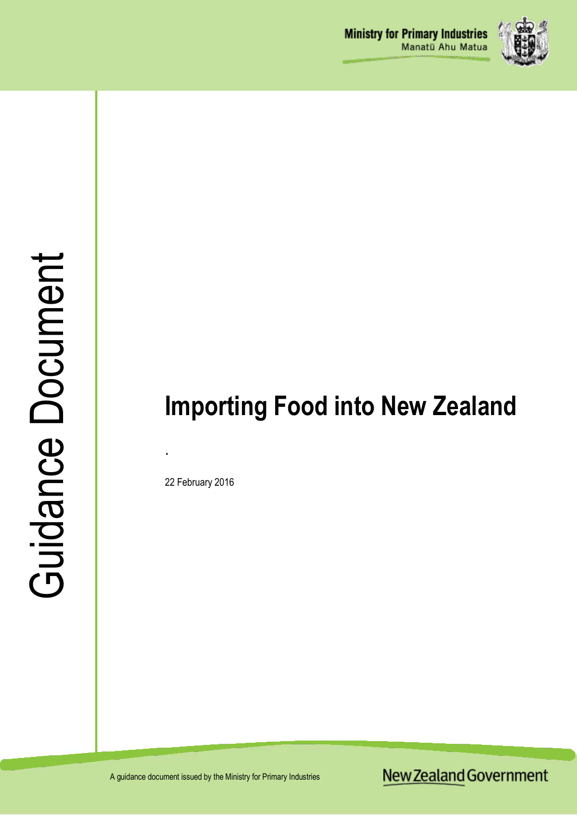

# Guidance Document Guidance Document

# **Importing Food into New Zealand**

22 February 2016

.

A guidance document issued by the Ministry for Primary Industries

New Zealand Government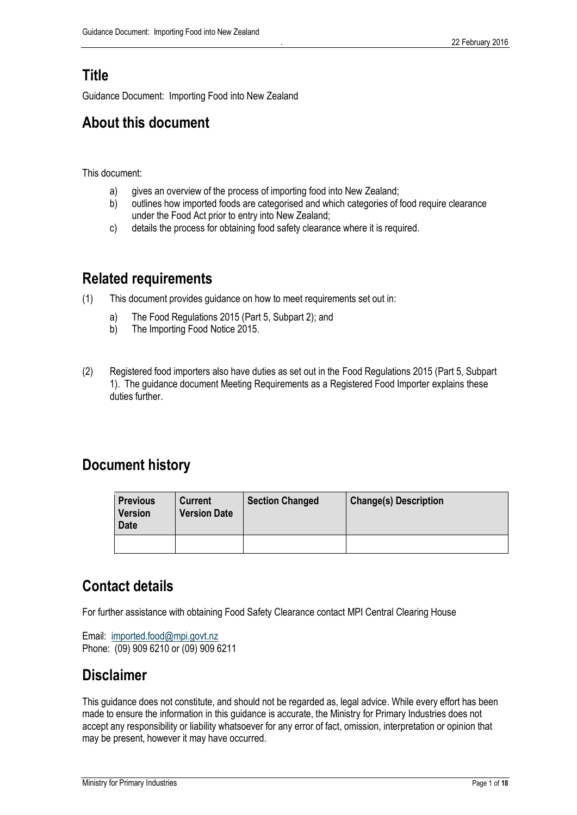# **Title**

Guidance Document: Importing Food into New Zealand

# **About this document**

This document:

- a) gives an overview of the process of importing food into New Zealand;
- b) outlines how imported foods are categorised and which categories of food require clearance under the Food Act prior to entry into New Zealand;
- c) details the process for obtaining food safety clearance where it is required.

# **Related requirements**

- (1) This document provides guidance on how to meet requirements set out in:
	- a) The Food Regulations 2015 (Part 5, Subpart 2); and
	- b) The Importing Food Notice 2015.
- (2) Registered food importers also have duties as set out in the Food Regulations 2015 (Part 5, Subpart 1). The guidance document Meeting Requirements as a Registered Food Importer explains these duties further.

# **Document history**

| <b>Previous</b><br><b>Version</b><br><b>Date</b> | <b>Current</b><br><b>Version Date</b> | <b>Section Changed</b> | <b>Change(s) Description</b> |
|--------------------------------------------------|---------------------------------------|------------------------|------------------------------|
|                                                  |                                       |                        |                              |

# **Contact details**

For further assistance with obtaining Food Safety Clearance contact MPI Central Clearing House

Email: [imported.food@mpi.govt.nz](mailto:imported.food@mpi.govt.nz) Phone: (09) 909 6210 or (09) 909 6211

# **Disclaimer**

This guidance does not constitute, and should not be regarded as, legal advice. While every effort has been made to ensure the information in this guidance is accurate, the Ministry for Primary Industries does not accept any responsibility or liability whatsoever for any error of fact, omission, interpretation or opinion that may be present, however it may have occurred.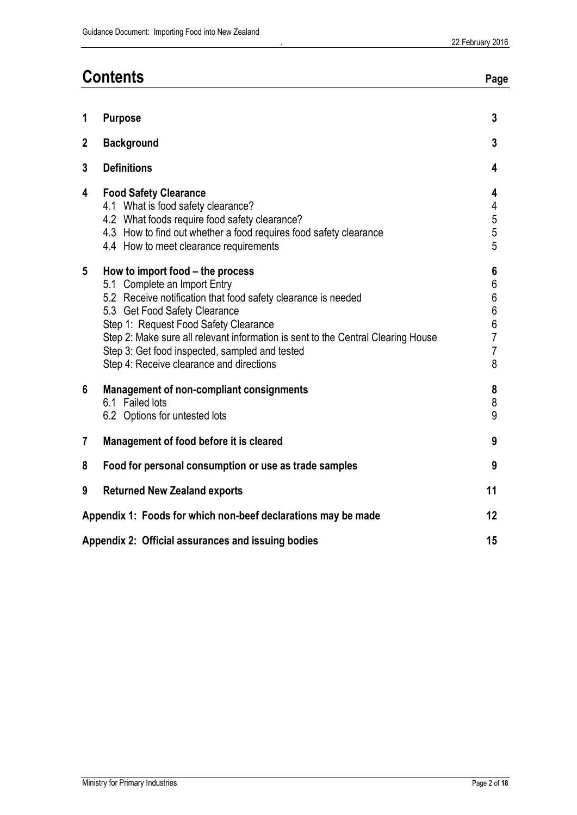|                 | <b>Contents</b>                                                                                                                                                                                                                                                                                                                                                                               |                                                                                                  |
|-----------------|-----------------------------------------------------------------------------------------------------------------------------------------------------------------------------------------------------------------------------------------------------------------------------------------------------------------------------------------------------------------------------------------------|--------------------------------------------------------------------------------------------------|
| 1               | <b>Purpose</b>                                                                                                                                                                                                                                                                                                                                                                                | $\overline{3}$                                                                                   |
| $\overline{2}$  | <b>Background</b>                                                                                                                                                                                                                                                                                                                                                                             | $\overline{3}$                                                                                   |
| 3               | <b>Definitions</b>                                                                                                                                                                                                                                                                                                                                                                            | 4                                                                                                |
| 4               | <b>Food Safety Clearance</b><br>4.1 What is food safety clearance?<br>4.2 What foods require food safety clearance?<br>4.3 How to find out whether a food requires food safety clearance<br>4.4 How to meet clearance requirements                                                                                                                                                            | 4<br>4<br>$\frac{5}{5}$<br>5                                                                     |
| $5\phantom{.0}$ | How to import food – the process<br>5.1 Complete an Import Entry<br>5.2 Receive notification that food safety clearance is needed<br>5.3 Get Food Safety Clearance<br>Step 1: Request Food Safety Clearance<br>Step 2: Make sure all relevant information is sent to the Central Clearing House<br>Step 3: Get food inspected, sampled and tested<br>Step 4: Receive clearance and directions | 6<br>$\boldsymbol{6}$<br>$\boldsymbol{6}$<br>$6\,$<br>6<br>$\overline{7}$<br>$\overline{7}$<br>8 |
| 6               | <b>Management of non-compliant consignments</b><br>6.1 Failed lots<br>6.2 Options for untested lots                                                                                                                                                                                                                                                                                           | 8<br>8<br>9                                                                                      |
| 7               | Management of food before it is cleared                                                                                                                                                                                                                                                                                                                                                       | 9                                                                                                |
| 8               | Food for personal consumption or use as trade samples                                                                                                                                                                                                                                                                                                                                         | 9                                                                                                |
| 9               | <b>Returned New Zealand exports</b>                                                                                                                                                                                                                                                                                                                                                           | 11                                                                                               |
|                 | Appendix 1: Foods for which non-beef declarations may be made                                                                                                                                                                                                                                                                                                                                 |                                                                                                  |
|                 | Appendix 2: Official assurances and issuing bodies                                                                                                                                                                                                                                                                                                                                            | 15                                                                                               |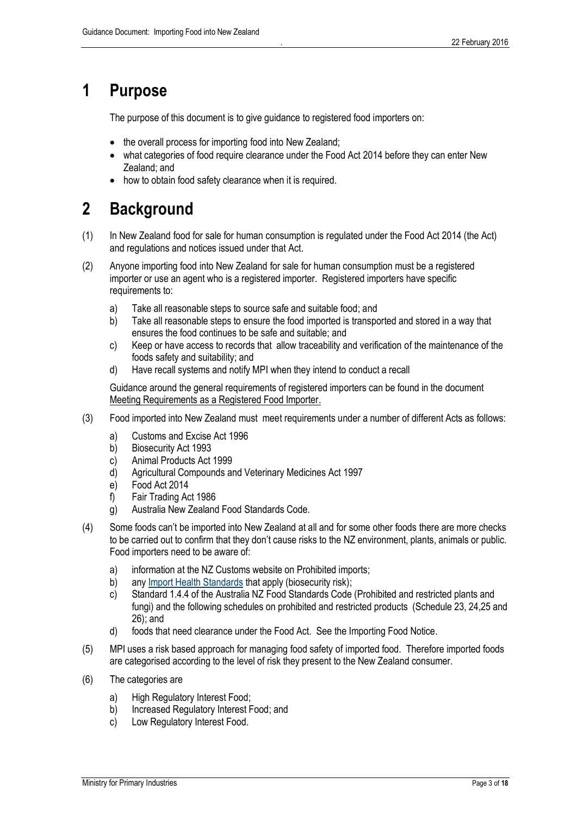# <span id="page-3-0"></span>**1 Purpose**

The purpose of this document is to give guidance to registered food importers on:

- the overall process for importing food into New Zealand;
- what categories of food require clearance under the Food Act 2014 before they can enter New Zealand; and
- how to obtain food safety clearance when it is required.

# <span id="page-3-1"></span>**2 Background**

- (1) In New Zealand food for sale for human consumption is regulated under the Food Act 2014 (the Act) and regulations and notices issued under that Act.
- (2) Anyone importing food into New Zealand for sale for human consumption must be a registered importer or use an agent who is a registered importer. Registered importers have specific requirements to:
	- a) Take all reasonable steps to source safe and suitable food; and
	- b) Take all reasonable steps to ensure the food imported is transported and stored in a way that ensures the food continues to be safe and suitable; and
	- c) Keep or have access to records that allow traceability and verification of the maintenance of the foods safety and suitability; and
	- d) Have recall systems and notify MPI when they intend to conduct a recall

Guidance around the general requirements of registered importers can be found in the document Meeting Requirements as a Registered Food Importer.

- (3) Food imported into New Zealand must meet requirements under a number of different Acts as follows:
	- a) Customs and Excise Act 1996
	- b) Biosecurity Act 1993
	- c) Animal Products Act 1999
	- d) Agricultural Compounds and Veterinary Medicines Act 1997
	- e) Food Act 2014
	- f) Fair Trading Act 1986
	- g) Australia New Zealand Food Standards Code.
- (4) Some foods can't be imported into New Zealand at all and for some other foods there are more checks to be carried out to confirm that they don't cause risks to the NZ environment, plants, animals or public. Food importers need to be aware of:
	- a) information at the NZ Customs website on Prohibited imports;
	- b) any [Import Health Standards](http://mpi.govt.nz/importing/food) that apply (biosecurity risk);
	- c) Standard 1.4.4 of the Australia NZ Food Standards Code (Prohibited and restricted plants and fungi) and the following schedules on prohibited and restricted products (Schedule 23, 24,25 and 26); and
	- d) foods that need clearance under the Food Act. See the Importing Food Notice.
- (5) MPI uses a risk based approach for managing food safety of imported food. Therefore imported foods are categorised according to the level of risk they present to the New Zealand consumer.
- (6) The categories are
	- a) High Regulatory Interest Food;
	- b) Increased Regulatory Interest Food; and
	- c) Low Regulatory Interest Food.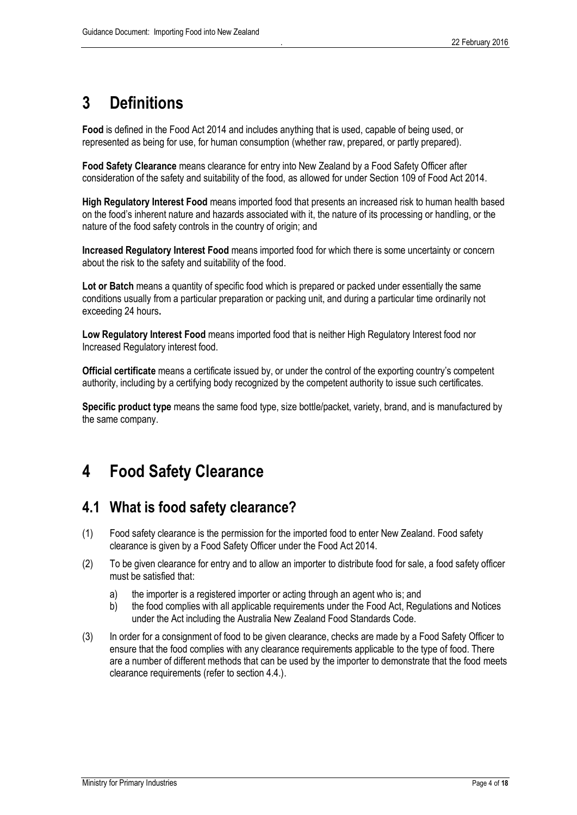# <span id="page-4-0"></span>**3 Definitions**

**Food** is defined in the Food Act 2014 and includes anything that is used, capable of being used, or represented as being for use, for human consumption (whether raw, prepared, or partly prepared).

**Food Safety Clearance** means clearance for entry into New Zealand by a Food Safety Officer after consideration of the safety and suitability of the food, as allowed for under Section 109 of Food Act 2014.

**High Regulatory Interest Food** means imported food that presents an increased risk to human health based on the food's inherent nature and hazards associated with it, the nature of its processing or handling, or the nature of the food safety controls in the country of origin; and

**Increased Regulatory Interest Food** means imported food for which there is some uncertainty or concern about the risk to the safety and suitability of the food.

**Lot or Batch** means a quantity of specific food which is prepared or packed under essentially the same conditions usually from a particular preparation or packing unit, and during a particular time ordinarily not exceeding 24 hours**.** 

**Low Regulatory Interest Food** means imported food that is neither High Regulatory Interest food nor Increased Regulatory interest food.

**Official certificate** means a certificate issued by, or under the control of the exporting country's competent authority, including by a certifying body recognized by the competent authority to issue such certificates.

**Specific product type** means the same food type, size bottle/packet, variety, brand, and is manufactured by the same company.

# <span id="page-4-1"></span>**4 Food Safety Clearance**

# <span id="page-4-2"></span>**4.1 What is food safety clearance?**

- (1) Food safety clearance is the permission for the imported food to enter New Zealand. Food safety clearance is given by a Food Safety Officer under the Food Act 2014.
- (2) To be given clearance for entry and to allow an importer to distribute food for sale, a food safety officer must be satisfied that:
	- a) the importer is a registered importer or acting through an agent who is; and
	- b) the food complies with all applicable requirements under the Food Act, Regulations and Notices under the Act including the Australia New Zealand Food Standards Code.
- (3) In order for a consignment of food to be given clearance, checks are made by a Food Safety Officer to ensure that the food complies with any clearance requirements applicable to the type of food. There are a number of different methods that can be used by the importer to demonstrate that the food meets clearance requirements (refer to section 4.4.).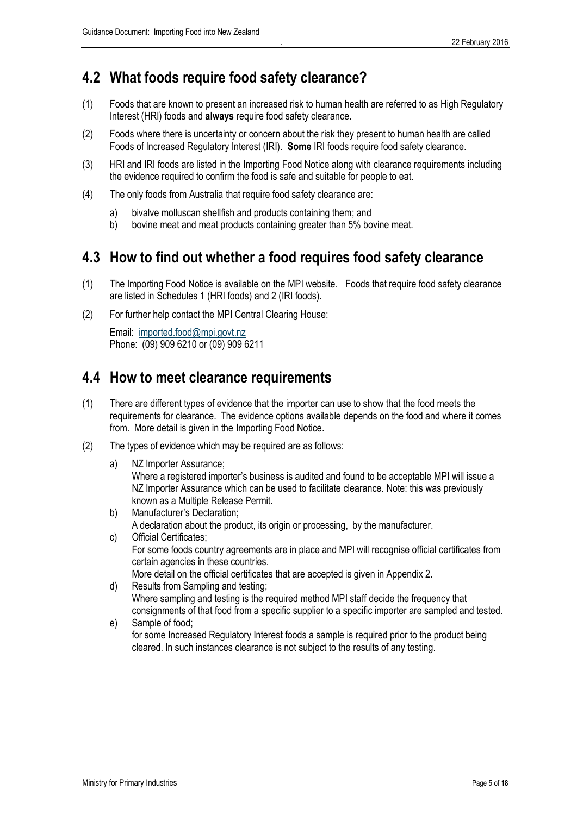# <span id="page-5-0"></span>**4.2 What foods require food safety clearance?**

- (1) Foods that are known to present an increased risk to human health are referred to as High Regulatory Interest (HRI) foods and **always** require food safety clearance.
- (2) Foods where there is uncertainty or concern about the risk they present to human health are called Foods of Increased Regulatory Interest (IRI). **Some** IRI foods require food safety clearance.
- (3) HRI and IRI foods are listed in the Importing Food Notice along with clearance requirements including the evidence required to confirm the food is safe and suitable for people to eat.
- (4) The only foods from Australia that require food safety clearance are:
	- a) bivalve molluscan shellfish and products containing them; and
	- b) bovine meat and meat products containing greater than 5% bovine meat.

# <span id="page-5-1"></span>**4.3 How to find out whether a food requires food safety clearance**

- (1) The Importing Food Notice is available on the MPI website. Foods that require food safety clearance are listed in Schedules 1 (HRI foods) and 2 (IRI foods).
- (2) For further help contact the MPI Central Clearing House:

Email: [imported.food@mpi.govt.nz](mailto:imported.food@mpi.govt.nz) Phone: (09) 909 6210 or (09) 909 6211

# <span id="page-5-2"></span>**4.4 How to meet clearance requirements**

- (1) There are different types of evidence that the importer can use to show that the food meets the requirements for clearance. The evidence options available depends on the food and where it comes from. More detail is given in the Importing Food Notice.
- (2) The types of evidence which may be required are as follows:
	- a) NZ Importer Assurance; Where a registered importer's business is audited and found to be acceptable MPI will issue a NZ Importer Assurance which can be used to facilitate clearance. Note: this was previously known as a Multiple Release Permit.
	- b) Manufacturer's Declaration; A declaration about the product, its origin or processing, by the manufacturer.
	- c) Official Certificates; For some foods country agreements are in place and MPI will recognise official certificates from certain agencies in these countries. More detail on the official certificates that are accepted is given in Appendix 2.
	- d) Results from Sampling and testing; Where sampling and testing is the required method MPI staff decide the frequency that consignments of that food from a specific supplier to a specific importer are sampled and tested.
	- e) Sample of food; for some Increased Regulatory Interest foods a sample is required prior to the product being cleared. In such instances clearance is not subject to the results of any testing.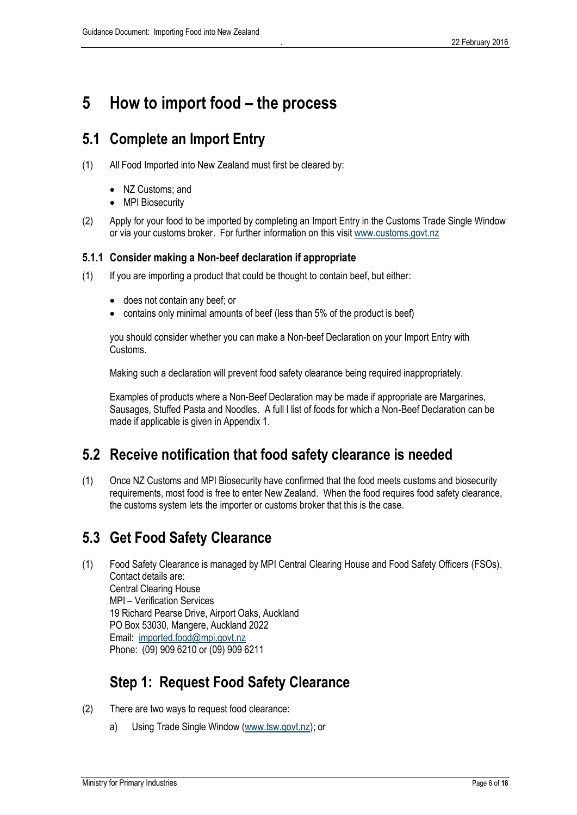# <span id="page-6-0"></span>**5 How to import food – the process**

# <span id="page-6-1"></span>**5.1 Complete an Import Entry**

- (1) All Food Imported into New Zealand must first be cleared by:
	- NZ Customs; and
	- MPI Biosecurity
- (2) Apply for your food to be imported by completing an Import Entry in the Customs Trade Single Window or via your customs broker. For further information on this visit [www.customs.govt.nz](http://www.customs.govt.nz/)

### **5.1.1 Consider making a Non-beef declaration if appropriate**

- (1) If you are importing a product that could be thought to contain beef, but either:
	- does not contain any beef; or
	- contains only minimal amounts of beef (less than 5% of the product is beef)

you should consider whether you can make a Non-beef Declaration on your Import Entry with Customs.

Making such a declaration will prevent food safety clearance being required inappropriately.

Examples of products where a Non-Beef Declaration may be made if appropriate are Margarines, Sausages, Stuffed Pasta and Noodles. A full l list of foods for which a Non-Beef Declaration can be made if applicable is given in Appendix 1.

# <span id="page-6-2"></span>**5.2 Receive notification that food safety clearance is needed**

(1) Once NZ Customs and MPI Biosecurity have confirmed that the food meets customs and biosecurity requirements, most food is free to enter New Zealand. When the food requires food safety clearance, the customs system lets the importer or customs broker that this is the case.

# <span id="page-6-3"></span>**5.3 Get Food Safety Clearance**

(1) Food Safety Clearance is managed by MPI Central Clearing House and Food Safety Officers (FSOs). Contact details are: Central Clearing House MPI – Verification Services 19 Richard Pearse Drive, Airport Oaks, Auckland PO Box 53030, Mangere, Auckland 2022 Email: [imported.food@mpi.govt.nz](mailto:imported.food@mpi.govt.nz) Phone: (09) 909 6210 or (09) 909 6211

# <span id="page-6-4"></span>**Step 1: Request Food Safety Clearance**

- (2) There are two ways to request food clearance:
	- a) Using Trade Single Window [\(www.tsw.govt.nz\)](http://www.tsw.govt.nz/); or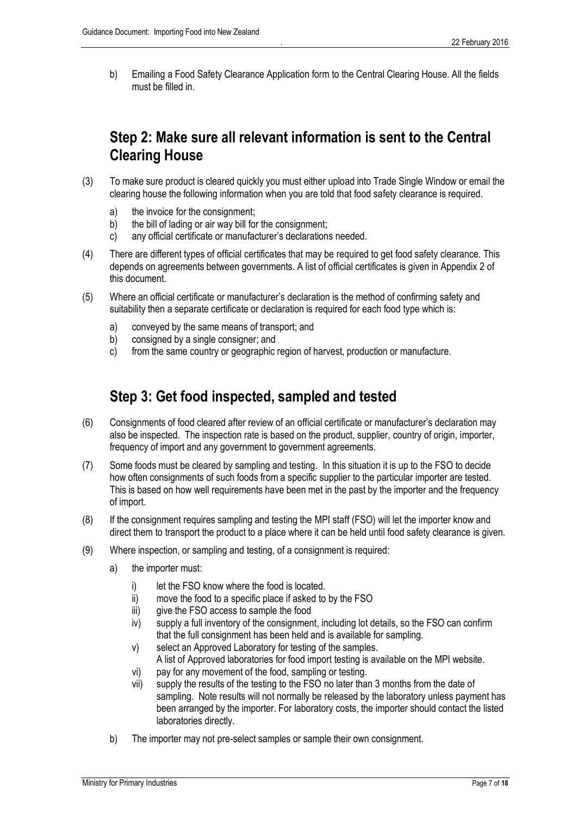b) Emailing a Food Safety Clearance Application form to the Central Clearing House. All the fields must be filled in.

# <span id="page-7-0"></span>**Step 2: Make sure all relevant information is sent to the Central Clearing House**

- (3) To make sure product is cleared quickly you must either upload into Trade Single Window or email the clearing house the following information when you are told that food safety clearance is required.
	- a) the invoice for the consignment;
	- b) the bill of lading or air way bill for the consignment;
	- c) any official certificate or manufacturer's declarations needed.
- (4) There are different types of official certificates that may be required to get food safety clearance. This depends on agreements between governments. A list of official certificates is given in Appendix 2 of this document.
- (5) Where an official certificate or manufacturer's declaration is the method of confirming safety and suitability then a separate certificate or declaration is required for each food type which is:
	- a) conveyed by the same means of transport; and
	- b) consigned by a single consigner; and
	- c) from the same country or geographic region of harvest, production or manufacture.

# <span id="page-7-1"></span>**Step 3: Get food inspected, sampled and tested**

- (6) Consignments of food cleared after review of an official certificate or manufacturer's declaration may also be inspected. The inspection rate is based on the product, supplier, country of origin, importer, frequency of import and any government to government agreements.
- (7) Some foods must be cleared by sampling and testing. In this situation it is up to the FSO to decide how often consignments of such foods from a specific supplier to the particular importer are tested. This is based on how well requirements have been met in the past by the importer and the frequency of import.
- (8) If the consignment requires sampling and testing the MPI staff (FSO) will let the importer know and direct them to transport the product to a place where it can be held until food safety clearance is given.
- (9) Where inspection, or sampling and testing, of a consignment is required:
	- a) the importer must:
		- i) let the FSO know where the food is located.
		- ii) move the food to a specific place if asked to by the FSO
		- iii) give the FSO access to sample the food
		- iv) supply a full inventory of the consignment, including lot details, so the FSO can confirm that the full consignment has been held and is available for sampling.
		- v) select an Approved Laboratory for testing of the samples. A list of Approved laboratories for food import testing is available on the MPI website.
		- vi) pay for any movement of the food, sampling or testing.
		- vii) supply the results of the testing to the FSO no later than 3 months from the date of sampling. Note results will not normally be released by the laboratory unless payment has been arranged by the importer. For laboratory costs, the importer should contact the listed laboratories directly.
	- b) The importer may not pre-select samples or sample their own consignment.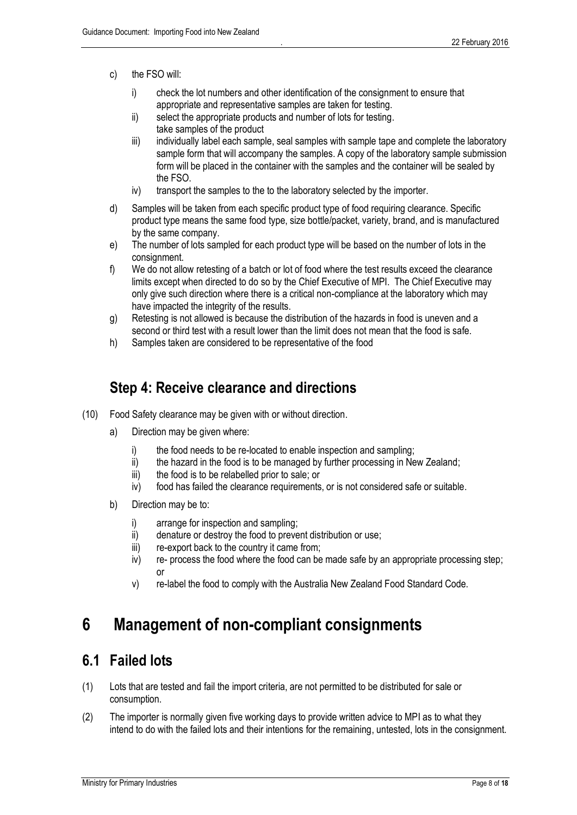- c) the FSO will:
	- i) check the lot numbers and other identification of the consignment to ensure that appropriate and representative samples are taken for testing.
	- ii) select the appropriate products and number of lots for testing. take samples of the product
	- iii) individually label each sample, seal samples with sample tape and complete the laboratory sample form that will accompany the samples. A copy of the laboratory sample submission form will be placed in the container with the samples and the container will be sealed by the FSO.
	- iv) transport the samples to the to the laboratory selected by the importer.
- d) Samples will be taken from each specific product type of food requiring clearance. Specific product type means the same food type, size bottle/packet, variety, brand, and is manufactured by the same company.
- e) The number of lots sampled for each product type will be based on the number of lots in the consignment.
- f) We do not allow retesting of a batch or lot of food where the test results exceed the clearance limits except when directed to do so by the Chief Executive of MPI. The Chief Executive may only give such direction where there is a critical non-compliance at the laboratory which may have impacted the integrity of the results.
- g) Retesting is not allowed is because the distribution of the hazards in food is uneven and a second or third test with a result lower than the limit does not mean that the food is safe.
- h) Samples taken are considered to be representative of the food

# <span id="page-8-0"></span>**Step 4: Receive clearance and directions**

- (10) Food Safety clearance may be given with or without direction.
	- a) Direction may be given where:
		- i) the food needs to be re-located to enable inspection and sampling;
		- ii) the hazard in the food is to be managed by further processing in New Zealand;
		- iii) the food is to be relabelled prior to sale; or
		- iv) food has failed the clearance requirements, or is not considered safe or suitable.
	- b) Direction may be to:
		- i) arrange for inspection and sampling;
		- ii) denature or destroy the food to prevent distribution or use;
		- iii) re-export back to the country it came from;
		- iv) re- process the food where the food can be made safe by an appropriate processing step; or
		- v) re-label the food to comply with the Australia New Zealand Food Standard Code.

# <span id="page-8-1"></span>**6 Management of non-compliant consignments**

## <span id="page-8-2"></span>**6.1 Failed lots**

- (1) Lots that are tested and fail the import criteria, are not permitted to be distributed for sale or consumption.
- (2) The importer is normally given five working days to provide written advice to MPI as to what they intend to do with the failed lots and their intentions for the remaining, untested, lots in the consignment.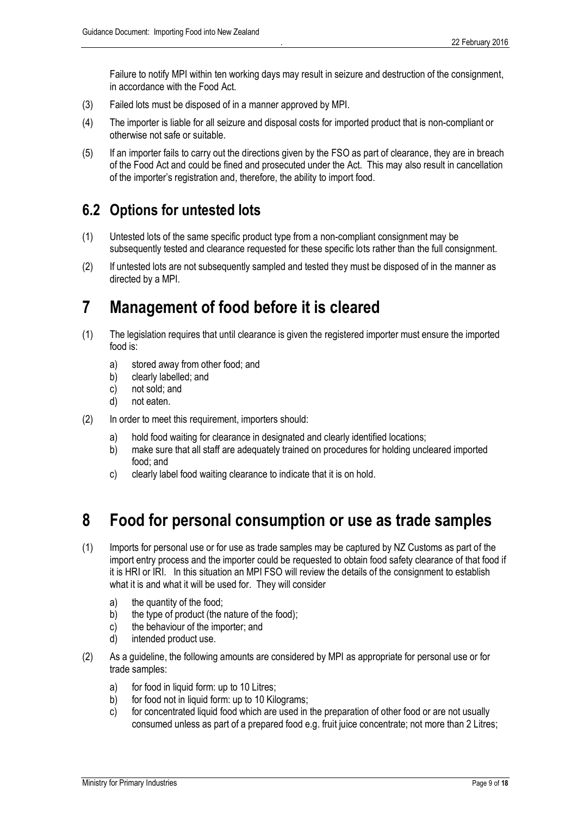Failure to notify MPI within ten working days may result in seizure and destruction of the consignment, in accordance with the Food Act.

- (3) Failed lots must be disposed of in a manner approved by MPI.
- (4) The importer is liable for all seizure and disposal costs for imported product that is non-compliant or otherwise not safe or suitable.
- (5) If an importer fails to carry out the directions given by the FSO as part of clearance, they are in breach of the Food Act and could be fined and prosecuted under the Act. This may also result in cancellation of the importer's registration and, therefore, the ability to import food.

# <span id="page-9-0"></span>**6.2 Options for untested lots**

- (1) Untested lots of the same specific product type from a non-compliant consignment may be subsequently tested and clearance requested for these specific lots rather than the full consignment.
- (2) If untested lots are not subsequently sampled and tested they must be disposed of in the manner as directed by a MPI.

# <span id="page-9-1"></span>**7 Management of food before it is cleared**

- (1) The legislation requires that until clearance is given the registered importer must ensure the imported food is:
	- a) stored away from other food; and
	- b) clearly labelled; and
	- c) not sold; and
	- d) not eaten.
- (2) In order to meet this requirement, importers should:
	- a) hold food waiting for clearance in designated and clearly identified locations;
	- b) make sure that all staff are adequately trained on procedures for holding uncleared imported food; and
	- c) clearly label food waiting clearance to indicate that it is on hold.

# <span id="page-9-2"></span>**8 Food for personal consumption or use as trade samples**

- (1) Imports for personal use or for use as trade samples may be captured by NZ Customs as part of the import entry process and the importer could be requested to obtain food safety clearance of that food if it is HRI or IRI. In this situation an MPI FSO will review the details of the consignment to establish what it is and what it will be used for. They will consider
	- a) the quantity of the food;
	- b) the type of product (the nature of the food);
	- c) the behaviour of the importer; and
	- d) intended product use.
- (2) As a guideline, the following amounts are considered by MPI as appropriate for personal use or for trade samples:
	- a) for food in liquid form: up to 10 Litres;
	- b) for food not in liquid form: up to 10 Kilograms;
	- c) for concentrated liquid food which are used in the preparation of other food or are not usually consumed unless as part of a prepared food e.g. fruit juice concentrate; not more than 2 Litres;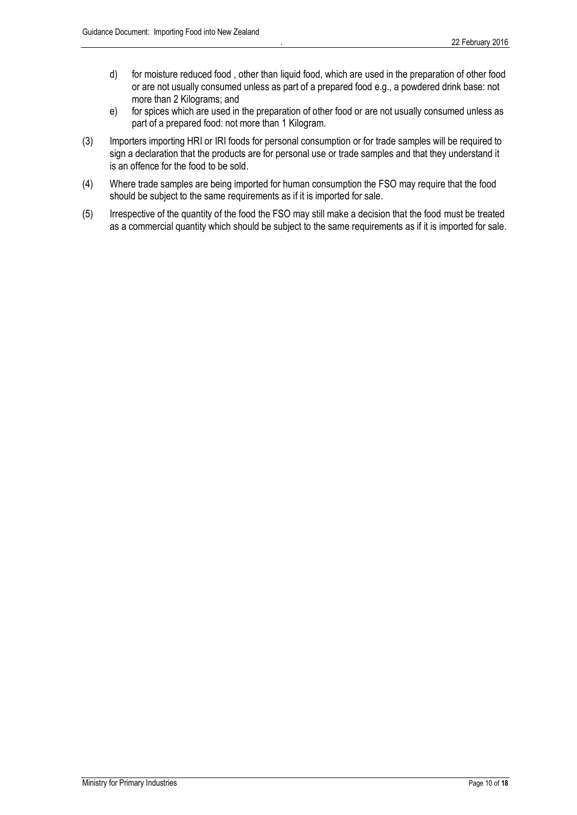- d) for moisture reduced food , other than liquid food, which are used in the preparation of other food or are not usually consumed unless as part of a prepared food e.g., a powdered drink base: not more than 2 Kilograms; and
- e) for spices which are used in the preparation of other food or are not usually consumed unless as part of a prepared food: not more than 1 Kilogram.
- (3) Importers importing HRI or IRI foods for personal consumption or for trade samples will be required to sign a declaration that the products are for personal use or trade samples and that they understand it is an offence for the food to be sold.
- (4) Where trade samples are being imported for human consumption the FSO may require that the food should be subject to the same requirements as if it is imported for sale.
- (5) Irrespective of the quantity of the food the FSO may still make a decision that the food must be treated as a commercial quantity which should be subject to the same requirements as if it is imported for sale.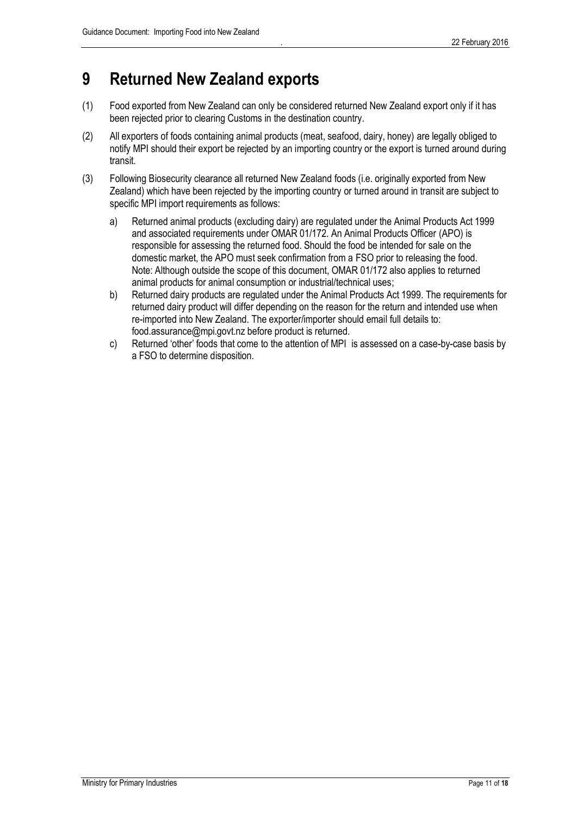# <span id="page-11-0"></span>**9 Returned New Zealand exports**

- (1) Food exported from New Zealand can only be considered returned New Zealand export only if it has been rejected prior to clearing Customs in the destination country.
- (2) All exporters of foods containing animal products (meat, seafood, dairy, honey) are legally obliged to notify MPI should their export be rejected by an importing country or the export is turned around during transit.
- (3) Following Biosecurity clearance all returned New Zealand foods (i.e. originally exported from New Zealand) which have been rejected by the importing country or turned around in transit are subject to specific MPI import requirements as follows:
	- a) Returned animal products (excluding dairy) are regulated under the Animal Products Act 1999 and associated requirements under OMAR 01/172. An Animal Products Officer (APO) is responsible for assessing the returned food. Should the food be intended for sale on the domestic market, the APO must seek confirmation from a FSO prior to releasing the food. Note: Although outside the scope of this document, OMAR 01/172 also applies to returned animal products for animal consumption or industrial/technical uses;
	- b) Returned dairy products are regulated under the Animal Products Act 1999. The requirements for returned dairy product will differ depending on the reason for the return and intended use when re-imported into New Zealand. The exporter/importer should email full details to: food.assurance@mpi.govt.nz before product is returned.
	- c) Returned 'other' foods that come to the attention of MPI is assessed on a case-by-case basis by a FSO to determine disposition.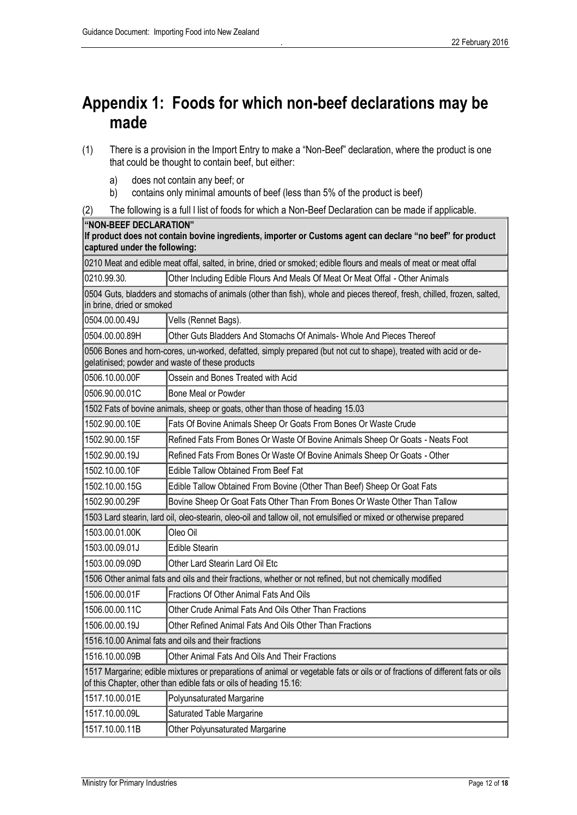# <span id="page-12-0"></span>**Appendix 1: Foods for which non-beef declarations may be made**

- (1) There is a provision in the Import Entry to make a "Non-Beef" declaration, where the product is one that could be thought to contain beef, but either:
	- a) does not contain any beef; or
	- b) contains only minimal amounts of beef (less than 5% of the product is beef)
- (2) The following is a full l list of foods for which a Non-Beef Declaration can be made if applicable.

| "NON-BEEF DECLARATION"<br>If product does not contain bovine ingredients, importer or Customs agent can declare "no beef" for product<br>captured under the following:                             |                                                                                                          |  |  |
|----------------------------------------------------------------------------------------------------------------------------------------------------------------------------------------------------|----------------------------------------------------------------------------------------------------------|--|--|
| 0210 Meat and edible meat offal, salted, in brine, dried or smoked; edible flours and meals of meat or meat offal                                                                                  |                                                                                                          |  |  |
| 0210.99.30.                                                                                                                                                                                        | Other Including Edible Flours And Meals Of Meat Or Meat Offal - Other Animals                            |  |  |
| 0504 Guts, bladders and stomachs of animals (other than fish), whole and pieces thereof, fresh, chilled, frozen, salted,<br>in brine, dried or smoked                                              |                                                                                                          |  |  |
| 0504.00.00.49J                                                                                                                                                                                     | Vells (Rennet Bags).                                                                                     |  |  |
| 0504.00.00.89H                                                                                                                                                                                     | Other Guts Bladders And Stomachs Of Animals- Whole And Pieces Thereof                                    |  |  |
| 0506 Bones and horn-cores, un-worked, defatted, simply prepared (but not cut to shape), treated with acid or de-<br>gelatinised; powder and waste of these products                                |                                                                                                          |  |  |
| 0506.10.00.00F                                                                                                                                                                                     | Ossein and Bones Treated with Acid                                                                       |  |  |
| 0506.90.00.01C                                                                                                                                                                                     | Bone Meal or Powder                                                                                      |  |  |
|                                                                                                                                                                                                    | 1502 Fats of bovine animals, sheep or goats, other than those of heading 15.03                           |  |  |
| 1502.90.00.10E                                                                                                                                                                                     | Fats Of Bovine Animals Sheep Or Goats From Bones Or Waste Crude                                          |  |  |
| 1502.90.00.15F                                                                                                                                                                                     | Refined Fats From Bones Or Waste Of Bovine Animals Sheep Or Goats - Neats Foot                           |  |  |
| 1502.90.00.19J                                                                                                                                                                                     | Refined Fats From Bones Or Waste Of Bovine Animals Sheep Or Goats - Other                                |  |  |
| 1502.10.00.10F                                                                                                                                                                                     | <b>Edible Tallow Obtained From Beef Fat</b>                                                              |  |  |
| 1502.10.00.15G                                                                                                                                                                                     | Edible Tallow Obtained From Bovine (Other Than Beef) Sheep Or Goat Fats                                  |  |  |
| 1502.90.00.29F                                                                                                                                                                                     | Bovine Sheep Or Goat Fats Other Than From Bones Or Waste Other Than Tallow                               |  |  |
| 1503 Lard stearin, lard oil, oleo-stearin, oleo-oil and tallow oil, not emulsified or mixed or otherwise prepared                                                                                  |                                                                                                          |  |  |
| 1503.00.01.00K                                                                                                                                                                                     | Oleo Oil                                                                                                 |  |  |
| 1503.00.09.01J                                                                                                                                                                                     | <b>Edible Stearin</b>                                                                                    |  |  |
| 1503.00.09.09D                                                                                                                                                                                     | Other Lard Stearin Lard Oil Etc                                                                          |  |  |
|                                                                                                                                                                                                    | 1506 Other animal fats and oils and their fractions, whether or not refined, but not chemically modified |  |  |
| 1506.00.00.01F                                                                                                                                                                                     | Fractions Of Other Animal Fats And Oils                                                                  |  |  |
| 1506.00.00.11C                                                                                                                                                                                     | Other Crude Animal Fats And Oils Other Than Fractions                                                    |  |  |
| 1506.00.00.19J                                                                                                                                                                                     | Other Refined Animal Fats And Oils Other Than Fractions                                                  |  |  |
| 1516.10.00 Animal fats and oils and their fractions                                                                                                                                                |                                                                                                          |  |  |
| 1516.10.00.09B                                                                                                                                                                                     | Other Animal Fats And Oils And Their Fractions                                                           |  |  |
| 1517 Margarine; edible mixtures or preparations of animal or vegetable fats or oils or of fractions of different fats or oils<br>of this Chapter, other than edible fats or oils of heading 15.16: |                                                                                                          |  |  |
| 1517.10.00.01E                                                                                                                                                                                     | Polyunsaturated Margarine                                                                                |  |  |
| 1517.10.00.09L                                                                                                                                                                                     | Saturated Table Margarine                                                                                |  |  |
| 1517.10.00.11B                                                                                                                                                                                     | <b>Other Polyunsaturated Margarine</b>                                                                   |  |  |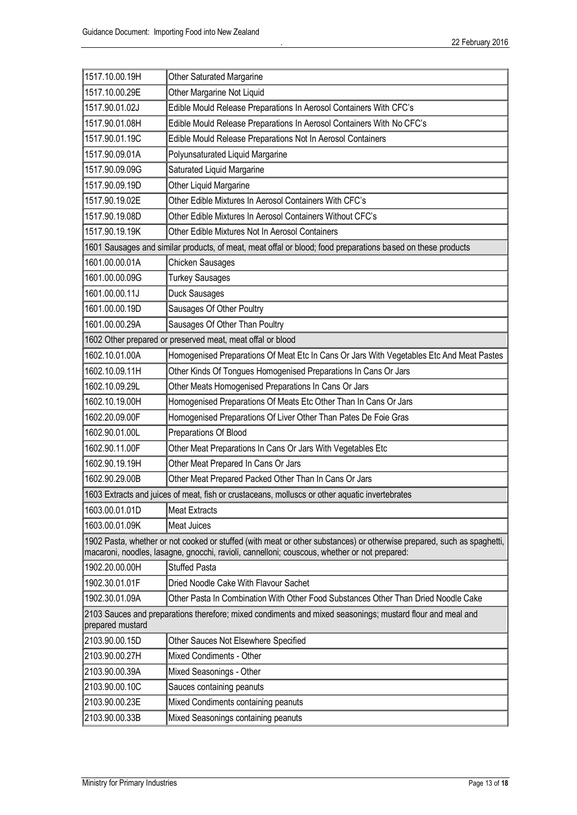| 1517.10.00.19H                                                                                                                                                                                                         | <b>Other Saturated Margarine</b>                                                                            |  |
|------------------------------------------------------------------------------------------------------------------------------------------------------------------------------------------------------------------------|-------------------------------------------------------------------------------------------------------------|--|
| 1517.10.00.29E                                                                                                                                                                                                         | Other Margarine Not Liquid                                                                                  |  |
| 1517.90.01.02J                                                                                                                                                                                                         | Edible Mould Release Preparations In Aerosol Containers With CFC's                                          |  |
| 1517.90.01.08H                                                                                                                                                                                                         | Edible Mould Release Preparations In Aerosol Containers With No CFC's                                       |  |
| 1517.90.01.19C                                                                                                                                                                                                         | Edible Mould Release Preparations Not In Aerosol Containers                                                 |  |
| 1517.90.09.01A                                                                                                                                                                                                         | Polyunsaturated Liquid Margarine                                                                            |  |
| 1517.90.09.09G                                                                                                                                                                                                         | Saturated Liquid Margarine                                                                                  |  |
| 1517.90.09.19D                                                                                                                                                                                                         | Other Liquid Margarine                                                                                      |  |
| 1517.90.19.02E                                                                                                                                                                                                         | Other Edible Mixtures In Aerosol Containers With CFC's                                                      |  |
| 1517.90.19.08D                                                                                                                                                                                                         | Other Edible Mixtures In Aerosol Containers Without CFC's                                                   |  |
| 1517.90.19.19K                                                                                                                                                                                                         | Other Edible Mixtures Not In Aerosol Containers                                                             |  |
|                                                                                                                                                                                                                        | 1601 Sausages and similar products, of meat, meat offal or blood; food preparations based on these products |  |
| 1601.00.00.01A                                                                                                                                                                                                         | Chicken Sausages                                                                                            |  |
| 1601.00.00.09G                                                                                                                                                                                                         | <b>Turkey Sausages</b>                                                                                      |  |
| 1601.00.00.11J                                                                                                                                                                                                         | Duck Sausages                                                                                               |  |
| 1601.00.00.19D                                                                                                                                                                                                         | Sausages Of Other Poultry                                                                                   |  |
| 1601.00.00.29A                                                                                                                                                                                                         | Sausages Of Other Than Poultry                                                                              |  |
| 1602 Other prepared or preserved meat, meat offal or blood                                                                                                                                                             |                                                                                                             |  |
| 1602.10.01.00A                                                                                                                                                                                                         | Homogenised Preparations Of Meat Etc In Cans Or Jars With Vegetables Etc And Meat Pastes                    |  |
| 1602.10.09.11H                                                                                                                                                                                                         | Other Kinds Of Tongues Homogenised Preparations In Cans Or Jars                                             |  |
| 1602.10.09.29L                                                                                                                                                                                                         | Other Meats Homogenised Preparations In Cans Or Jars                                                        |  |
| 1602.10.19.00H                                                                                                                                                                                                         | Homogenised Preparations Of Meats Etc Other Than In Cans Or Jars                                            |  |
| 1602.20.09.00F                                                                                                                                                                                                         | Homogenised Preparations Of Liver Other Than Pates De Foie Gras                                             |  |
| 1602.90.01.00L                                                                                                                                                                                                         | Preparations Of Blood                                                                                       |  |
| 1602.90.11.00F                                                                                                                                                                                                         | Other Meat Preparations In Cans Or Jars With Vegetables Etc                                                 |  |
| 1602.90.19.19H                                                                                                                                                                                                         | Other Meat Prepared In Cans Or Jars                                                                         |  |
| 1602.90.29.00B                                                                                                                                                                                                         | Other Meat Prepared Packed Other Than In Cans Or Jars                                                       |  |
| 1603 Extracts and juices of meat, fish or crustaceans, molluscs or other aquatic invertebrates                                                                                                                         |                                                                                                             |  |
| 1603.00.01.01D                                                                                                                                                                                                         | <b>Meat Extracts</b>                                                                                        |  |
| 1603.00.01.09K                                                                                                                                                                                                         | <b>Meat Juices</b>                                                                                          |  |
| 1902 Pasta, whether or not cooked or stuffed (with meat or other substances) or otherwise prepared, such as spaghetti,<br>macaroni, noodles, lasagne, gnocchi, ravioli, cannelloni; couscous, whether or not prepared: |                                                                                                             |  |
| 1902.20.00.00H                                                                                                                                                                                                         | <b>Stuffed Pasta</b>                                                                                        |  |
| 1902.30.01.01F                                                                                                                                                                                                         | Dried Noodle Cake With Flavour Sachet                                                                       |  |
| 1902.30.01.09A                                                                                                                                                                                                         | Other Pasta In Combination With Other Food Substances Other Than Dried Noodle Cake                          |  |
| 2103 Sauces and preparations therefore; mixed condiments and mixed seasonings; mustard flour and meal and<br>prepared mustard                                                                                          |                                                                                                             |  |
| 2103.90.00.15D                                                                                                                                                                                                         | Other Sauces Not Elsewhere Specified                                                                        |  |
| 2103.90.00.27H                                                                                                                                                                                                         | Mixed Condiments - Other                                                                                    |  |
| 2103.90.00.39A                                                                                                                                                                                                         | Mixed Seasonings - Other                                                                                    |  |
| 2103.90.00.10C                                                                                                                                                                                                         | Sauces containing peanuts                                                                                   |  |
| 2103.90.00.23E                                                                                                                                                                                                         | Mixed Condiments containing peanuts                                                                         |  |
| 2103.90.00.33B                                                                                                                                                                                                         | Mixed Seasonings containing peanuts                                                                         |  |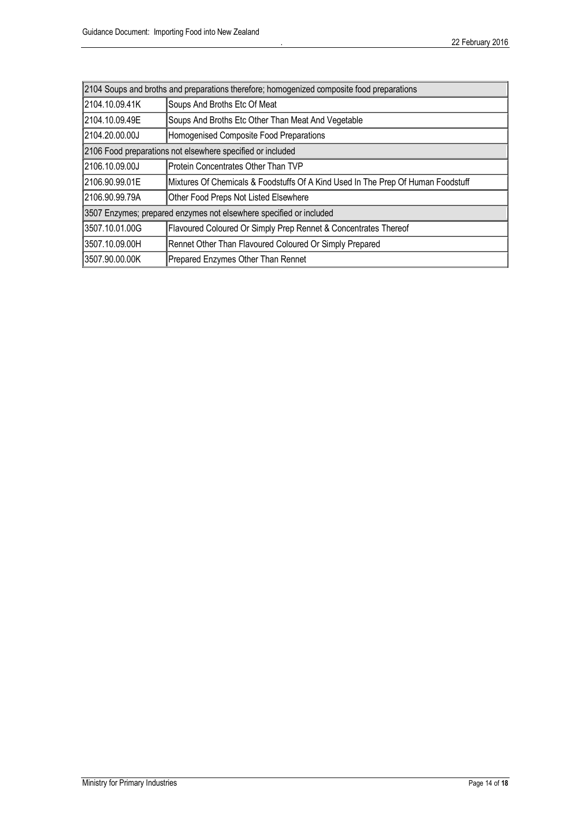| 2104 Soups and broths and preparations therefore; homogenized composite food preparations |                                                                                  |  |
|-------------------------------------------------------------------------------------------|----------------------------------------------------------------------------------|--|
| 2104.10.09.41K                                                                            | Soups And Broths Etc Of Meat                                                     |  |
| 2104.10.09.49E                                                                            | Soups And Broths Etc Other Than Meat And Vegetable                               |  |
| 2104.20.00.00J                                                                            | Homogenised Composite Food Preparations                                          |  |
| 2106 Food preparations not elsewhere specified or included                                |                                                                                  |  |
| 2106.10.09.00J                                                                            | Protein Concentrates Other Than TVP                                              |  |
| 2106.90.99.01E                                                                            | Mixtures Of Chemicals & Foodstuffs Of A Kind Used In The Prep Of Human Foodstuff |  |
| 2106.90.99.79A                                                                            | Other Food Preps Not Listed Elsewhere                                            |  |
| 3507 Enzymes; prepared enzymes not elsewhere specified or included                        |                                                                                  |  |
| 3507.10.01.00G                                                                            | Flavoured Coloured Or Simply Prep Rennet & Concentrates Thereof                  |  |
| 3507.10.09.00H                                                                            | Rennet Other Than Flavoured Coloured Or Simply Prepared                          |  |
| 3507.90.00.00K                                                                            | Prepared Enzymes Other Than Rennet                                               |  |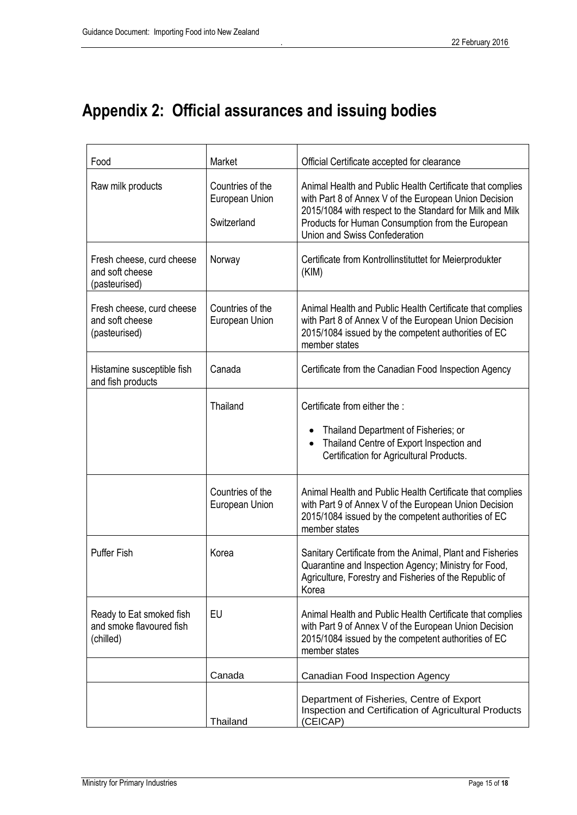# <span id="page-15-0"></span>**Appendix 2: Official assurances and issuing bodies**

| Food                                                              | Market                                            | Official Certificate accepted for clearance                                                                                                                                                                                                                         |
|-------------------------------------------------------------------|---------------------------------------------------|---------------------------------------------------------------------------------------------------------------------------------------------------------------------------------------------------------------------------------------------------------------------|
| Raw milk products                                                 | Countries of the<br>European Union<br>Switzerland | Animal Health and Public Health Certificate that complies<br>with Part 8 of Annex V of the European Union Decision<br>2015/1084 with respect to the Standard for Milk and Milk<br>Products for Human Consumption from the European<br>Union and Swiss Confederation |
| Fresh cheese, curd cheese<br>and soft cheese<br>(pasteurised)     | Norway                                            | Certificate from Kontrollinstituttet for Meierprodukter<br>(KIM)                                                                                                                                                                                                    |
| Fresh cheese, curd cheese<br>and soft cheese<br>(pasteurised)     | Countries of the<br>European Union                | Animal Health and Public Health Certificate that complies<br>with Part 8 of Annex V of the European Union Decision<br>2015/1084 issued by the competent authorities of EC<br>member states                                                                          |
| Histamine susceptible fish<br>and fish products                   | Canada                                            | Certificate from the Canadian Food Inspection Agency                                                                                                                                                                                                                |
|                                                                   | Thailand                                          | Certificate from either the :<br>Thailand Department of Fisheries; or<br>Thailand Centre of Export Inspection and<br>Certification for Agricultural Products.                                                                                                       |
|                                                                   | Countries of the<br>European Union                | Animal Health and Public Health Certificate that complies<br>with Part 9 of Annex V of the European Union Decision<br>2015/1084 issued by the competent authorities of EC<br>member states                                                                          |
| <b>Puffer Fish</b>                                                | Korea                                             | Sanitary Certificate from the Animal, Plant and Fisheries<br>Quarantine and Inspection Agency; Ministry for Food,<br>Agriculture, Forestry and Fisheries of the Republic of<br>Korea                                                                                |
| Ready to Eat smoked fish<br>and smoke flavoured fish<br>(chilled) | EU                                                | Animal Health and Public Health Certificate that complies<br>with Part 9 of Annex V of the European Union Decision<br>2015/1084 issued by the competent authorities of EC<br>member states                                                                          |
|                                                                   | Canada                                            | Canadian Food Inspection Agency                                                                                                                                                                                                                                     |
|                                                                   | Thailand                                          | Department of Fisheries, Centre of Export<br>Inspection and Certification of Agricultural Products<br>(CEICAP)                                                                                                                                                      |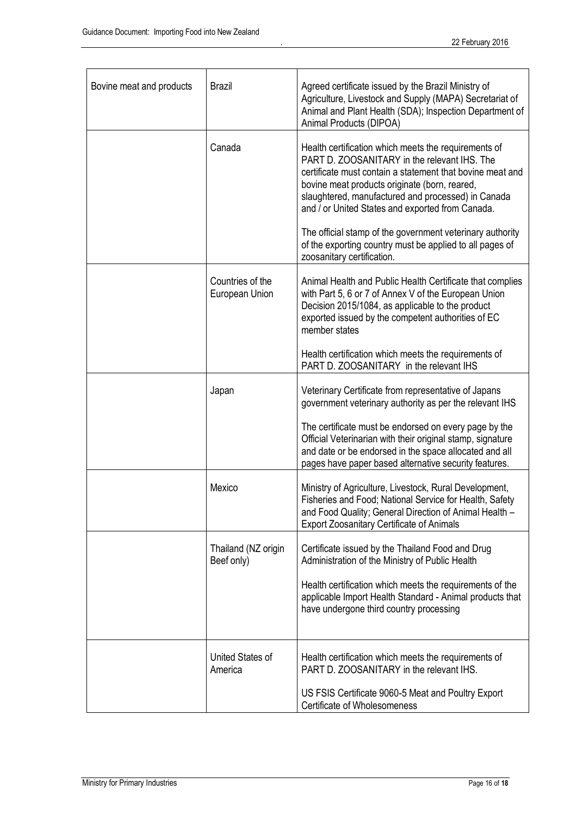| Bovine meat and products | <b>Brazil</b>                      | Agreed certificate issued by the Brazil Ministry of<br>Agriculture, Livestock and Supply (MAPA) Secretariat of<br>Animal and Plant Health (SDA); Inspection Department of<br>Animal Products (DIPOA)                                                                                                                         |
|--------------------------|------------------------------------|------------------------------------------------------------------------------------------------------------------------------------------------------------------------------------------------------------------------------------------------------------------------------------------------------------------------------|
|                          | Canada                             | Health certification which meets the requirements of<br>PART D. ZOOSANITARY in the relevant IHS. The<br>certificate must contain a statement that bovine meat and<br>bovine meat products originate (born, reared,<br>slaughtered, manufactured and processed) in Canada<br>and / or United States and exported from Canada. |
|                          |                                    | The official stamp of the government veterinary authority<br>of the exporting country must be applied to all pages of<br>zoosanitary certification.                                                                                                                                                                          |
|                          | Countries of the<br>European Union | Animal Health and Public Health Certificate that complies<br>with Part 5, 6 or 7 of Annex V of the European Union<br>Decision 2015/1084, as applicable to the product<br>exported issued by the competent authorities of EC<br>member states                                                                                 |
|                          |                                    | Health certification which meets the requirements of<br>PART D. ZOOSANITARY in the relevant IHS                                                                                                                                                                                                                              |
|                          | Japan                              | Veterinary Certificate from representative of Japans<br>government veterinary authority as per the relevant IHS                                                                                                                                                                                                              |
|                          |                                    | The certificate must be endorsed on every page by the<br>Official Veterinarian with their original stamp, signature<br>and date or be endorsed in the space allocated and all<br>pages have paper based alternative security features.                                                                                       |
|                          | Mexico                             | Ministry of Agriculture, Livestock, Rural Development,<br>Fisheries and Food; National Service for Health, Safety<br>and Food Quality; General Direction of Animal Health -<br><b>Export Zoosanitary Certificate of Animals</b>                                                                                              |
|                          | Thailand (NZ origin<br>Beef only)  | Certificate issued by the Thailand Food and Drug<br>Administration of the Ministry of Public Health                                                                                                                                                                                                                          |
|                          |                                    | Health certification which meets the requirements of the<br>applicable Import Health Standard - Animal products that<br>have undergone third country processing                                                                                                                                                              |
|                          | United States of<br>America        | Health certification which meets the requirements of<br>PART D. ZOOSANITARY in the relevant IHS.                                                                                                                                                                                                                             |
|                          |                                    | US FSIS Certificate 9060-5 Meat and Poultry Export<br>Certificate of Wholesomeness                                                                                                                                                                                                                                           |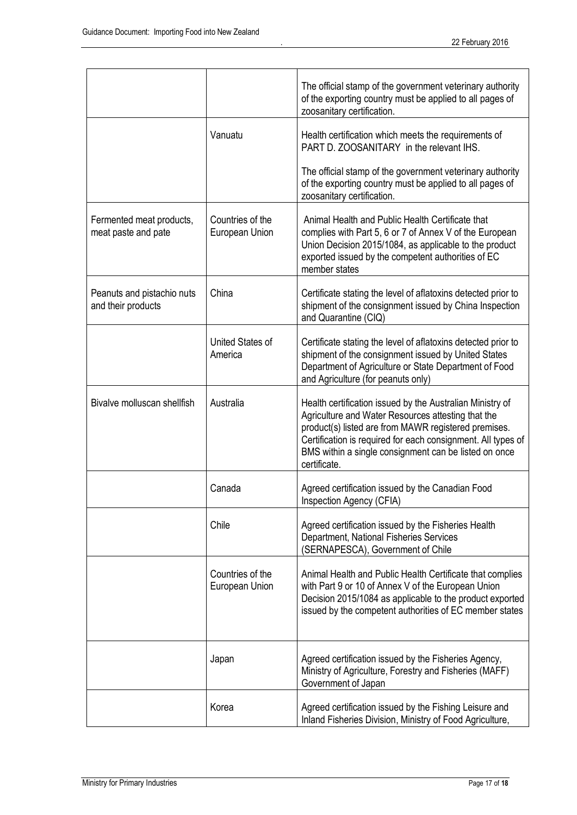|                                                  |                                    | The official stamp of the government veterinary authority<br>of the exporting country must be applied to all pages of<br>zoosanitary certification.                                                                                                                                                              |
|--------------------------------------------------|------------------------------------|------------------------------------------------------------------------------------------------------------------------------------------------------------------------------------------------------------------------------------------------------------------------------------------------------------------|
|                                                  | Vanuatu                            | Health certification which meets the requirements of<br>PART D. ZOOSANITARY in the relevant IHS.                                                                                                                                                                                                                 |
|                                                  |                                    | The official stamp of the government veterinary authority<br>of the exporting country must be applied to all pages of<br>zoosanitary certification.                                                                                                                                                              |
| Fermented meat products,<br>meat paste and pate  | Countries of the<br>European Union | Animal Health and Public Health Certificate that<br>complies with Part 5, 6 or 7 of Annex V of the European<br>Union Decision 2015/1084, as applicable to the product<br>exported issued by the competent authorities of EC<br>member states                                                                     |
| Peanuts and pistachio nuts<br>and their products | China                              | Certificate stating the level of aflatoxins detected prior to<br>shipment of the consignment issued by China Inspection<br>and Quarantine (CIQ)                                                                                                                                                                  |
|                                                  | United States of<br>America        | Certificate stating the level of aflatoxins detected prior to<br>shipment of the consignment issued by United States<br>Department of Agriculture or State Department of Food<br>and Agriculture (for peanuts only)                                                                                              |
| Bivalve molluscan shellfish                      | Australia                          | Health certification issued by the Australian Ministry of<br>Agriculture and Water Resources attesting that the<br>product(s) listed are from MAWR registered premises.<br>Certification is required for each consignment. All types of<br>BMS within a single consignment can be listed on once<br>certificate. |
|                                                  | Canada                             | Agreed certification issued by the Canadian Food<br>Inspection Agency (CFIA)                                                                                                                                                                                                                                     |
|                                                  | Chile                              | Agreed certification issued by the Fisheries Health<br>Department, National Fisheries Services<br>(SERNAPESCA), Government of Chile                                                                                                                                                                              |
|                                                  | Countries of the<br>European Union | Animal Health and Public Health Certificate that complies<br>with Part 9 or 10 of Annex V of the European Union<br>Decision 2015/1084 as applicable to the product exported<br>issued by the competent authorities of EC member states                                                                           |
|                                                  | Japan                              | Agreed certification issued by the Fisheries Agency,<br>Ministry of Agriculture, Forestry and Fisheries (MAFF)<br>Government of Japan                                                                                                                                                                            |
|                                                  | Korea                              | Agreed certification issued by the Fishing Leisure and<br>Inland Fisheries Division, Ministry of Food Agriculture,                                                                                                                                                                                               |